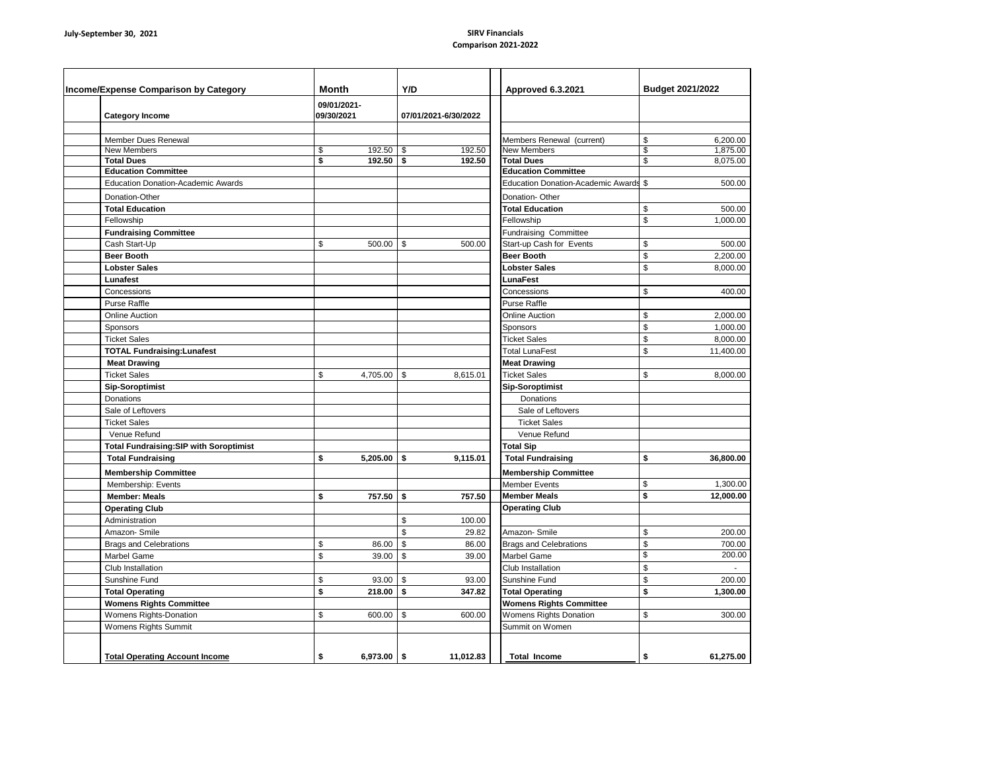## **Comparison 2021-2022**

| Income/Expense Comparison by Category |                                               | Month                     |               | Y/D |                      | Approved 6.3.2021                         | <b>Budget 2021/2022</b> |
|---------------------------------------|-----------------------------------------------|---------------------------|---------------|-----|----------------------|-------------------------------------------|-------------------------|
|                                       | <b>Category Income</b>                        | 09/01/2021-<br>09/30/2021 |               |     | 07/01/2021-6/30/2022 |                                           |                         |
|                                       | Member Dues Renewal                           |                           |               |     |                      | Members Renewal (current)                 | 6.200.00<br>\$          |
|                                       | <b>New Members</b>                            | \$                        | 192.50        | -\$ | 192.50               | <b>New Members</b>                        | 1,875.00<br>\$          |
|                                       | <b>Total Dues</b>                             | \$                        | $192.50$ \ \$ |     | 192.50               | <b>Total Dues</b>                         | \$<br>8,075.00          |
|                                       | <b>Education Committee</b>                    |                           |               |     |                      | <b>Education Committee</b>                |                         |
|                                       | <b>Education Donation-Academic Awards</b>     |                           |               |     |                      | <b>Education Donation-Academic Awards</b> | \$<br>500.00            |
|                                       | Donation-Other                                |                           |               |     |                      | Donation-Other                            |                         |
|                                       | <b>Total Education</b>                        |                           |               |     |                      | <b>Total Education</b>                    | \$<br>500.00            |
|                                       | Fellowship                                    |                           |               |     |                      | Fellowship                                | \$<br>1,000.00          |
|                                       | <b>Fundraising Committee</b>                  |                           |               |     |                      | Fundraising Committee                     |                         |
|                                       | Cash Start-Up                                 | \$                        | 500.00        | \$  | 500.00               | Start-up Cash for Events                  | \$<br>500.00            |
|                                       | <b>Beer Booth</b>                             |                           |               |     |                      | <b>Beer Booth</b>                         | \$<br>2,200.00          |
|                                       | <b>Lobster Sales</b>                          |                           |               |     |                      | <b>Lobster Sales</b>                      | \$<br>8,000.00          |
|                                       | Lunafest                                      |                           |               |     |                      | <b>LunaFest</b>                           |                         |
|                                       | Concessions                                   |                           |               |     |                      | Concessions                               | \$<br>400.00            |
|                                       | <b>Purse Raffle</b>                           |                           |               |     |                      | Purse Raffle                              |                         |
|                                       | <b>Online Auction</b>                         |                           |               |     |                      | <b>Online Auction</b>                     | \$<br>2,000.00          |
|                                       | Sponsors                                      |                           |               |     |                      | Sponsors                                  | \$<br>1,000.00          |
|                                       | <b>Ticket Sales</b>                           |                           |               |     |                      | <b>Ticket Sales</b>                       | \$<br>8,000.00          |
|                                       | <b>TOTAL Fundraising:Lunafest</b>             |                           |               |     |                      | <b>Total LunaFest</b>                     | \$<br>11.400.00         |
|                                       | <b>Meat Drawing</b>                           |                           |               |     |                      | <b>Meat Drawing</b>                       |                         |
|                                       | <b>Ticket Sales</b>                           | \$                        | 4,705.00      | \$  | 8,615.01             | <b>Ticket Sales</b>                       | \$<br>8,000.00          |
|                                       | <b>Sip-Soroptimist</b>                        |                           |               |     |                      | <b>Sip-Soroptimist</b>                    |                         |
|                                       | Donations                                     |                           |               |     |                      | Donations                                 |                         |
|                                       | Sale of Leftovers                             |                           |               |     |                      | Sale of Leftovers                         |                         |
|                                       | <b>Ticket Sales</b>                           |                           |               |     |                      | <b>Ticket Sales</b>                       |                         |
|                                       | Venue Refund                                  |                           |               |     |                      | Venue Refund                              |                         |
|                                       | <b>Total Fundraising:SIP with Soroptimist</b> |                           |               |     |                      | <b>Total Sip</b>                          |                         |
|                                       | <b>Total Fundraising</b>                      | \$                        | 5.205.00      | \$  | 9.115.01             | <b>Total Fundraising</b>                  | \$<br>36.800.00         |
|                                       | <b>Membership Committee</b>                   |                           |               |     |                      | <b>Membership Committee</b>               |                         |
|                                       | Membership: Events                            |                           |               |     |                      | <b>Member Events</b>                      | \$<br>1,300.00          |
|                                       | <b>Member: Meals</b>                          | \$                        | 757.50        | \$  | 757.50               | <b>Member Meals</b>                       | \$<br>12,000.00         |
|                                       | <b>Operating Club</b>                         |                           |               |     |                      | <b>Operating Club</b>                     |                         |
|                                       | Administration                                |                           |               | \$  | 100.00               |                                           |                         |
|                                       | Amazon-Smile                                  |                           |               | \$  | 29.82                | Amazon-Smile                              | \$<br>200.00            |
|                                       |                                               | \$                        | 86.00         | \$  | 86.00                |                                           | \$<br>700.00            |
|                                       | <b>Brags and Celebrations</b>                 | \$                        | 39.00         | \$  |                      | <b>Brags and Celebrations</b>             | \$<br>200.00            |
|                                       | <b>Marbel Game</b>                            |                           |               |     | 39.00                | Marbel Game                               | \$<br>$\sim$            |
|                                       | Club Installation                             |                           |               |     |                      | Club Installation                         |                         |
|                                       | Sunshine Fund                                 | \$                        | 93.00         | \$  | 93.00                | Sunshine Fund                             | \$<br>200.00            |
|                                       | <b>Total Operating</b>                        | \$                        | 218.00        | \$  | 347.82               | <b>Total Operating</b>                    | \$<br>1,300.00          |
|                                       | <b>Womens Rights Committee</b>                | \$                        |               |     |                      | <b>Womens Rights Committee</b>            | \$                      |
|                                       | Womens Rights-Donation                        |                           | 600.00        | \$  | 600.00               | Womens Rights Donation                    | 300.00                  |
|                                       | Womens Rights Summit                          |                           |               |     |                      | Summit on Women                           |                         |
|                                       |                                               |                           |               |     |                      |                                           |                         |
|                                       | <b>Total Operating Account Income</b>         | \$                        | $6,973.00$ \$ |     | 11,012.83            | <b>Total Income</b>                       | \$<br>61,275.00         |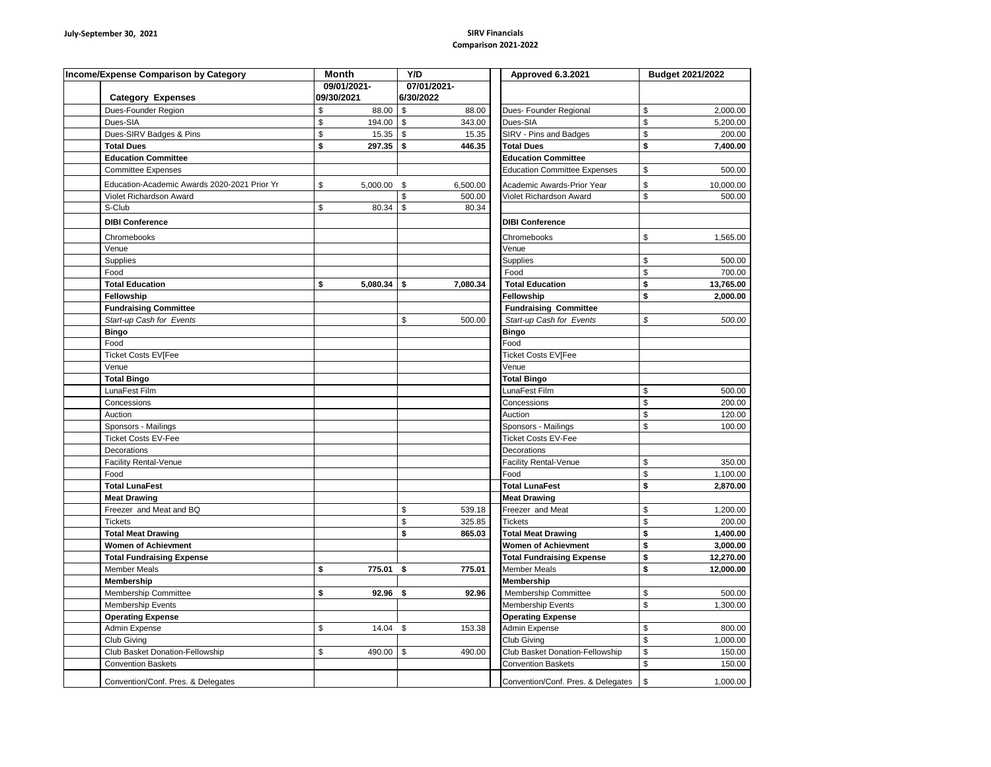## **Comparison 2021-2022**

| Income/Expense Comparison by Category |                                              | <b>Month</b>   | Y/D                | Approved 6.3.2021                   | Budget 2021/2022 |
|---------------------------------------|----------------------------------------------|----------------|--------------------|-------------------------------------|------------------|
|                                       |                                              | 09/01/2021-    | 07/01/2021-        |                                     |                  |
|                                       | <b>Category Expenses</b>                     | 09/30/2021     | 6/30/2022          |                                     |                  |
|                                       | Dues-Founder Region                          | \$<br>88.00    | \$<br>88.00        | Dues- Founder Regional              | \$<br>2,000.00   |
|                                       | Dues-SIA                                     | \$<br>194.00   | \$<br>343.00       | Dues-SIA                            | \$<br>5,200.00   |
|                                       | Dues-SIRV Badges & Pins                      | \$<br>15.35    | \$<br>15.35        | SIRV - Pins and Badges              | \$<br>200.00     |
|                                       | <b>Total Dues</b>                            | \$<br>297.35   | <b>S</b><br>446.35 | <b>Total Dues</b>                   | \$<br>7,400.00   |
|                                       | <b>Education Committee</b>                   |                |                    | <b>Education Committee</b>          |                  |
|                                       | <b>Committee Expenses</b>                    |                |                    | <b>Education Committee Expenses</b> | \$<br>500.00     |
|                                       | Education-Academic Awards 2020-2021 Prior Yr | \$<br>5,000.00 | \$<br>6,500.00     | Academic Awards-Prior Year          | \$<br>10,000.00  |
|                                       | Violet Richardson Award                      |                | \$<br>500.00       | Violet Richardson Award             | \$<br>500.00     |
|                                       | S-Club                                       | \$<br>80.34    | \$<br>80.34        |                                     |                  |
|                                       | <b>DIBI Conference</b>                       |                |                    | <b>DIBI Conference</b>              |                  |
|                                       | Chromebooks                                  |                |                    | Chromebooks                         | \$<br>1,565.00   |
|                                       | Venue                                        |                |                    | Venue                               |                  |
|                                       | Supplies                                     |                |                    | <b>Supplies</b>                     | \$<br>500.00     |
|                                       | Food                                         |                |                    | Food                                | \$<br>700.00     |
|                                       | <b>Total Education</b>                       | \$<br>5,080.34 | \$<br>7,080.34     | <b>Total Education</b>              | \$<br>13,765.00  |
|                                       | Fellowship                                   |                |                    | Fellowship                          | \$<br>2,000.00   |
|                                       | <b>Fundraising Committee</b>                 |                |                    | <b>Fundraising Committee</b>        |                  |
|                                       | Start-up Cash for Events                     |                | \$<br>500.00       | Start-up Cash for Events            | 500.00<br>\$     |
|                                       | <b>Bingo</b>                                 |                |                    | <b>Bingo</b>                        |                  |
|                                       | Food                                         |                |                    | Food                                |                  |
|                                       | <b>Ticket Costs EV[Fee</b>                   |                |                    | Ticket Costs EV[Fee                 |                  |
|                                       | Venue                                        |                |                    | Venue                               |                  |
|                                       | <b>Total Bingo</b>                           |                |                    | <b>Total Bingo</b>                  |                  |
|                                       | LunaFest Film                                |                |                    | LunaFest Film                       | \$<br>500.00     |
|                                       | Concessions                                  |                |                    | Concessions                         | \$<br>200.00     |
|                                       | Auction                                      |                |                    | Auction                             | \$<br>120.00     |
|                                       | Sponsors - Mailings                          |                |                    | Sponsors - Mailings                 | \$<br>100.00     |
|                                       | <b>Ticket Costs EV-Fee</b>                   |                |                    | <b>Ticket Costs EV-Fee</b>          |                  |
|                                       | Decorations                                  |                |                    | Decorations                         |                  |
|                                       | <b>Facility Rental-Venue</b>                 |                |                    | <b>Facility Rental-Venue</b>        | \$<br>350.00     |
|                                       | Food                                         |                |                    | Food                                | \$<br>1,100.00   |
|                                       | <b>Total LunaFest</b>                        |                |                    | <b>Total LunaFest</b>               | \$<br>2,870.00   |
|                                       | <b>Meat Drawing</b>                          |                |                    | <b>Meat Drawing</b>                 |                  |
|                                       | Freezer and Meat and BQ                      |                | \$<br>539.18       | Freezer and Meat                    | 1,200.00<br>\$   |
|                                       | <b>Tickets</b>                               |                | \$<br>325.85       | <b>Tickets</b>                      | \$<br>200.00     |
|                                       | <b>Total Meat Drawing</b>                    |                | \$<br>865.03       | <b>Total Meat Drawing</b>           | \$<br>1,400.00   |
|                                       | Women of Achievment                          |                |                    | <b>Women of Achievment</b>          | \$<br>3,000.00   |
|                                       | <b>Total Fundraising Expense</b>             |                |                    | <b>Total Fundraising Expense</b>    | \$<br>12,270.00  |
|                                       | <b>Member Meals</b>                          | 775.01<br>\$   | 775.01<br>\$       | <b>Member Meals</b>                 | \$<br>12,000.00  |
|                                       | Membership                                   |                |                    | Membership                          |                  |
|                                       | Membership Committee                         | \$<br>92.96    | \$<br>92.96        | Membership Committee                | \$<br>500.00     |
|                                       | <b>Membership Events</b>                     |                |                    | Membership Events                   | \$<br>1,300.00   |
|                                       | <b>Operating Expense</b>                     |                |                    | <b>Operating Expense</b>            |                  |
|                                       | Admin Expense                                | \$<br>14.04    | \$<br>153.38       | Admin Expense                       | \$<br>800.00     |
|                                       | Club Giving                                  |                |                    | Club Giving                         | \$<br>1,000.00   |
|                                       | Club Basket Donation-Fellowship              | \$<br>490.00   | \$<br>490.00       | Club Basket Donation-Fellowship     | 150.00<br>\$     |
|                                       | <b>Convention Baskets</b>                    |                |                    | <b>Convention Baskets</b>           | \$<br>150.00     |
|                                       | Convention/Conf. Pres. & Delegates           |                |                    | Convention/Conf. Pres. & Delegates  | \$<br>1,000.00   |